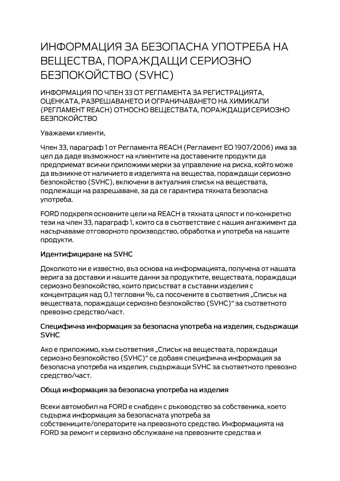# ИНФОРМАЦИЯ ЗА БЕЗОПАСНА УПОТРЕБА НА ВЕЩЕСТВА, ПОРАЖДАЩИ СЕРИОЗНО **БЕЗПОКОЙСТВО (SVHC)**

ИНФОРМАЦИЯ ПО ЧЛЕН 33 ОТ РЕГЛАМЕНТА ЗА РЕГИСТРАЦИЯТА. ОЦЕНКАТА, РАЗРЕШАВАНЕТО И ОГРАНИЧАВАНЕТО НА ХИМИКАЛИ (РЕГЛАМЕНТ REACH) ОТНОСНО ВЕЩЕСТВАТА, ПОРАЖДАЩИ СЕРИОЗНО **БЕЗПОКОЙСТВО** 

Уважаеми клиенти,

Член 33, параграф 1 от Регламента REACH (Регламент ЕО 1907/2006) има за цел да даде възможност на клиентите на доставените продукти да предприемат всички приложими мерки за управление на риска, който може да възникне от наличието в изделията на вещества, пораждащи сериозно безпокойство (SVHC), включени в актуалния списък на веществата, подлежащи на разрешаване, за да се гарантира тяхната безопасна употреба.

FORD подкрепя основните цели на REACH в тяхната цялост и по-конкретно тези на член 33, параграф 1, които са в съответствие с нашия ангажимент да насърчаваме отговорното производство, обработка и употреба на нашите продукти.

## Идентифициране на SVHC

Доколкото ни е известно, въз основа на информацията, получена от нашата верига за доставки и нашите данни за продуктите, веществата, пораждащи сериозно безпокойство, които присъстват в съставни изделия с концентрация над 0,1 тегловни %, са посочените в съответния "Списък на веществата, пораждащи сериозно безпокойство (SVHC)" за съответното превозно средство/част.

#### Специфична информация за безопасна употреба на изделия, съдържащи **SVHC**

Ако е приложимо, към съответния "Списък на веществата, пораждащи сериозно безпокойство (SVHC)" се добавя специфична информация за безопасна употреба на изделия, съдържащи SVHC за съответното превозно средство/част.

## Обща информация за безопасна употреба на изделия

Всеки автомобил на FORD е снабден с ръководство за собственика, което съдържа информация за безопасната употреба за собствениците/операторите на превозното средство. Информацията на FORD за ремонт и сервизно обслужване на превозните средства и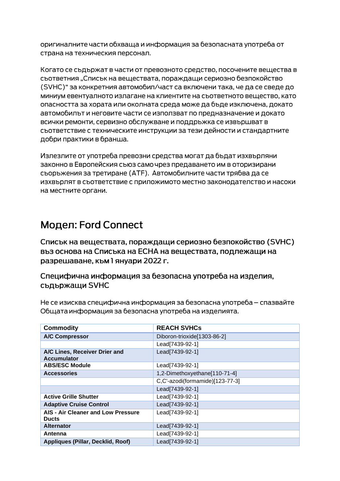оригиналните части обхваща и информация за безопасната употреба от страна на техническия персонал.

Когато се съдържат в части от превозното средство, посочените вещества в сьответния "Списък на вешествата, пораждащи сериозно безпокойство (SVHC)" за конкретния автомобил/част са включени така, че да се сведе до миниум евентуалното излагане на клиентите на съответното вещество, като опасността за хората или околната среда може да бъде изключена, докато автомобилът и неговите части се използват по предназначение и докато всички ремонти, сервизно обслужване и поддръжка се извършват в съответствие с техническите инструкции за тези дейности и стандартните добри практики в бранша.

Излезлите от употреба превозни средства могат да бъдат изхвърляни законно в Европейския съюз само чрез предаването им в оторизирани сьоръжения за третиране (АТЕ). Автомобилните части трябва да се изхвърлят в съответствие с приложимото местно законодателство и насоки на местните органи.

# Модел: Ford Connect

Списък на веществата, пораждащи сериозно безпокойство (SVHC) въз основа на Списъка на ЕСНА на веществата, подлежащи на разрешаване, към 1 януари 2022 г.

Специфична информация за безопасна употреба на изделия, съдържащи SVHC

Не се изисква специфична информация за безопасна употреба – спазвайте Общата информация за безопасна употреба на изделията.

| <b>Commodity</b>                                    | <b>REACH SVHCs</b>              |
|-----------------------------------------------------|---------------------------------|
| <b>A/C Compressor</b>                               | Diboron-trioxide[1303-86-2]     |
|                                                     | Lead[7439-92-1]                 |
| A/C Lines, Receiver Drier and<br><b>Accumulator</b> | Lead[7439-92-1]                 |
| <b>ABS/ESC Module</b>                               | Lead[7439-92-1]                 |
| <b>Accessories</b>                                  | 1,2-Dimethoxyethane[110-71-4]   |
|                                                     | C,C'-azodi(formamide)[123-77-3] |
|                                                     | Lead[7439-92-1]                 |
| <b>Active Grille Shutter</b>                        | Lead[7439-92-1]                 |
| <b>Adaptive Cruise Control</b>                      | Lead[7439-92-1]                 |
| AIS - Air Cleaner and Low Pressure<br><b>Ducts</b>  | Lead[7439-92-1]                 |
| <b>Alternator</b>                                   | Lead[7439-92-1]                 |
| Antenna                                             | Lead[7439-92-1]                 |
| Appliques (Pillar, Decklid, Roof)                   | Lead[7439-92-1]                 |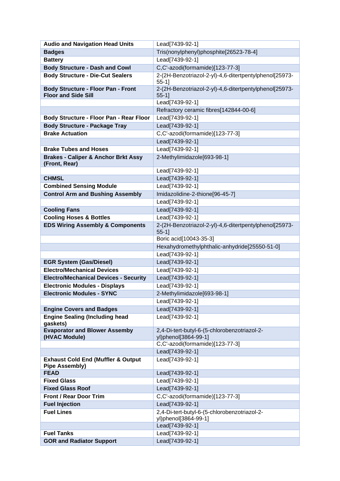| <b>Audio and Navigation Head Units</b>                                   | Lead[7439-92-1]                                                      |
|--------------------------------------------------------------------------|----------------------------------------------------------------------|
| <b>Badges</b>                                                            | Tris(nonylphenyl)phosphite[26523-78-4]                               |
| <b>Battery</b>                                                           | Lead[7439-92-1]                                                      |
| <b>Body Structure - Dash and Cowl</b>                                    | C,C'-azodi(formamide)[123-77-3]                                      |
| <b>Body Structure - Die-Cut Sealers</b>                                  | 2-(2H-Benzotriazol-2-yl)-4,6-ditertpentylphenol[25973-<br>$55-1$ ]   |
| <b>Body Structure - Floor Pan - Front</b><br><b>Floor and Side Sill</b>  | 2-(2H-Benzotriazol-2-yl)-4,6-ditertpentylphenol[25973-<br>$55-1$ ]   |
|                                                                          | Lead[7439-92-1]                                                      |
|                                                                          | Refractory ceramic fibres[142844-00-6]                               |
| Body Structure - Floor Pan - Rear Floor                                  | Lead[7439-92-1]                                                      |
| <b>Body Structure - Package Tray</b>                                     | Lead[7439-92-1]                                                      |
| <b>Brake Actuation</b>                                                   | C,C'-azodi(formamide)[123-77-3]                                      |
|                                                                          | Lead[7439-92-1]                                                      |
| <b>Brake Tubes and Hoses</b>                                             | Lead[7439-92-1]                                                      |
| <b>Brakes - Caliper &amp; Anchor Brkt Assy</b><br>(Front, Rear)          | 2-Methylimidazole[693-98-1]                                          |
|                                                                          | Lead[7439-92-1]                                                      |
| <b>CHMSL</b>                                                             | Lead[7439-92-1]                                                      |
| <b>Combined Sensing Module</b>                                           | Lead[7439-92-1]                                                      |
| <b>Control Arm and Bushing Assembly</b>                                  | Imidazolidine-2-thione[96-45-7]                                      |
|                                                                          | Lead[7439-92-1]                                                      |
| <b>Cooling Fans</b>                                                      | Lead[7439-92-1]                                                      |
| <b>Cooling Hoses &amp; Bottles</b>                                       | Lead[7439-92-1]                                                      |
| <b>EDS Wiring Assembly &amp; Components</b>                              | 2-(2H-Benzotriazol-2-yl)-4,6-ditertpentylphenol[25973-<br>$55-1$ ]   |
|                                                                          | Boric acid[10043-35-3]                                               |
|                                                                          | Hexahydromethylphthalic-anhydride[25550-51-0]                        |
|                                                                          | Lead[7439-92-1]                                                      |
| <b>EGR System (Gas/Diesel)</b>                                           | Lead[7439-92-1]                                                      |
| <b>Electro/Mechanical Devices</b>                                        | Lead[7439-92-1]                                                      |
| <b>Electro/Mechanical Devices - Security</b>                             | Lead[7439-92-1]                                                      |
| <b>Electronic Modules - Displays</b>                                     | Lead[7439-92-1]                                                      |
| <b>Electronic Modules - SYNC</b>                                         | 2-Methylimidazole[693-98-1]                                          |
|                                                                          | Lead[7439-92-1]                                                      |
| <b>Engine Covers and Badges</b><br><b>Engine Sealing (Including head</b> | Lead[7439-92-1]<br>Lead[7439-92-1]                                   |
| gaskets)                                                                 |                                                                      |
| <b>Evaporator and Blower Assemby</b><br>(HVAC Module)                    | 2,4-Di-tert-butyl-6-(5-chlorobenzotriazol-2-<br>yl)phenol[3864-99-1] |
|                                                                          | C,C'-azodi(formamide)[123-77-3]                                      |
|                                                                          | Lead[7439-92-1]                                                      |
| <b>Exhaust Cold End (Muffler &amp; Output</b><br><b>Pipe Assembly)</b>   | Lead[7439-92-1]                                                      |
| <b>FEAD</b>                                                              | Lead[7439-92-1]                                                      |
| <b>Fixed Glass</b>                                                       | Lead[7439-92-1]                                                      |
| <b>Fixed Glass Roof</b>                                                  | Lead[7439-92-1]                                                      |
| <b>Front / Rear Door Trim</b>                                            | C,C'-azodi(formamide)[123-77-3]                                      |
| <b>Fuel Injection</b>                                                    | Lead[7439-92-1]                                                      |
| <b>Fuel Lines</b>                                                        | 2,4-Di-tert-butyl-6-(5-chlorobenzotriazol-2-                         |
|                                                                          | yl)phenol[3864-99-1]<br>Lead[7439-92-1]                              |
| <b>Fuel Tanks</b>                                                        | Lead[7439-92-1]                                                      |
| <b>GOR and Radiator Support</b>                                          | Lead[7439-92-1]                                                      |
|                                                                          |                                                                      |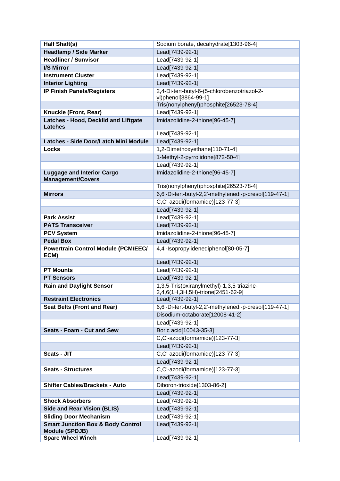| Half Shaft(s)                                                         | Sodium borate, decahydrate[1303-96-4]                                           |
|-----------------------------------------------------------------------|---------------------------------------------------------------------------------|
| <b>Headlamp / Side Marker</b>                                         | Lead[7439-92-1]                                                                 |
| <b>Headliner / Sunvisor</b>                                           | Lead[7439-92-1]                                                                 |
| I/S Mirror                                                            | Lead[7439-92-1]                                                                 |
| <b>Instrument Cluster</b>                                             | Lead[7439-92-1]                                                                 |
| <b>Interior Lighting</b>                                              | Lead[7439-92-1]                                                                 |
| <b>IP Finish Panels/Registers</b>                                     | 2,4-Di-tert-butyl-6-(5-chlorobenzotriazol-2-                                    |
|                                                                       | yl)phenol[3864-99-1]                                                            |
|                                                                       | Tris(nonylphenyl)phosphite[26523-78-4]                                          |
| Knuckle (Front, Rear)                                                 | Lead[7439-92-1]                                                                 |
| Latches - Hood, Decklid and Liftgate<br><b>Latches</b>                | Imidazolidine-2-thione[96-45-7]                                                 |
|                                                                       | Lead[7439-92-1]                                                                 |
| Latches - Side Door/Latch Mini Module                                 | Lead[7439-92-1]                                                                 |
| Locks                                                                 | 1,2-Dimethoxyethane[110-71-4]                                                   |
|                                                                       | 1-Methyl-2-pyrrolidone[872-50-4]                                                |
|                                                                       | Lead[7439-92-1]                                                                 |
| <b>Luggage and Interior Cargo</b>                                     | Imidazolidine-2-thione[96-45-7]                                                 |
| <b>Management/Covers</b>                                              |                                                                                 |
|                                                                       | Tris(nonylphenyl)phosphite[26523-78-4]                                          |
| <b>Mirrors</b>                                                        | 6,6'-Di-tert-butyl-2,2'-methylenedi-p-cresol[119-47-1]                          |
|                                                                       | C,C'-azodi(formamide)[123-77-3]                                                 |
|                                                                       | Lead[7439-92-1]                                                                 |
| <b>Park Assist</b>                                                    | Lead[7439-92-1]                                                                 |
| <b>PATS Transceiver</b>                                               | Lead[7439-92-1]                                                                 |
| <b>PCV System</b>                                                     | Imidazolidine-2-thione[96-45-7]                                                 |
| <b>Pedal Box</b>                                                      | Lead[7439-92-1]                                                                 |
| <b>Powertrain Control Module (PCM/EEC/</b><br>ECM)                    | 4,4'-Isopropylidenediphenol[80-05-7]                                            |
|                                                                       | Lead[7439-92-1]                                                                 |
| <b>PT Mounts</b>                                                      | Lead[7439-92-1]                                                                 |
| <b>PT Sensors</b>                                                     | Lead[7439-92-1]                                                                 |
| <b>Rain and Daylight Sensor</b>                                       | 1,3,5-Tris(oxiranylmethyl)-1,3,5-triazine-<br>2,4,6(1H,3H,5H)-trione[2451-62-9] |
| <b>Restraint Electronics</b>                                          | Lead[7439-92-1]                                                                 |
| <b>Seat Belts (Front and Rear)</b>                                    | 6,6'-Di-tert-butyl-2,2'-methylenedi-p-cresol[119-47-1]                          |
|                                                                       | Disodium-octaborate[12008-41-2]                                                 |
|                                                                       | Lead[7439-92-1]                                                                 |
| Seats - Foam - Cut and Sew                                            | Boric acid[10043-35-3]                                                          |
|                                                                       | C,C'-azodi(formamide)[123-77-3]                                                 |
|                                                                       | Lead[7439-92-1]                                                                 |
| Seats - JIT                                                           | C,C'-azodi(formamide)[123-77-3]                                                 |
|                                                                       | Lead[7439-92-1]                                                                 |
| <b>Seats - Structures</b>                                             | C,C'-azodi(formamide)[123-77-3]                                                 |
|                                                                       | Lead[7439-92-1]                                                                 |
| <b>Shifter Cables/Brackets - Auto</b>                                 | Diboron-trioxide[1303-86-2]                                                     |
|                                                                       | Lead[7439-92-1]                                                                 |
| <b>Shock Absorbers</b>                                                | Lead[7439-92-1]                                                                 |
| <b>Side and Rear Vision (BLIS)</b>                                    | Lead[7439-92-1]                                                                 |
| <b>Sliding Door Mechanism</b>                                         | Lead[7439-92-1]                                                                 |
| <b>Smart Junction Box &amp; Body Control</b><br><b>Module (SPDJB)</b> | Lead[7439-92-1]                                                                 |
| <b>Spare Wheel Winch</b>                                              | Lead[7439-92-1]                                                                 |